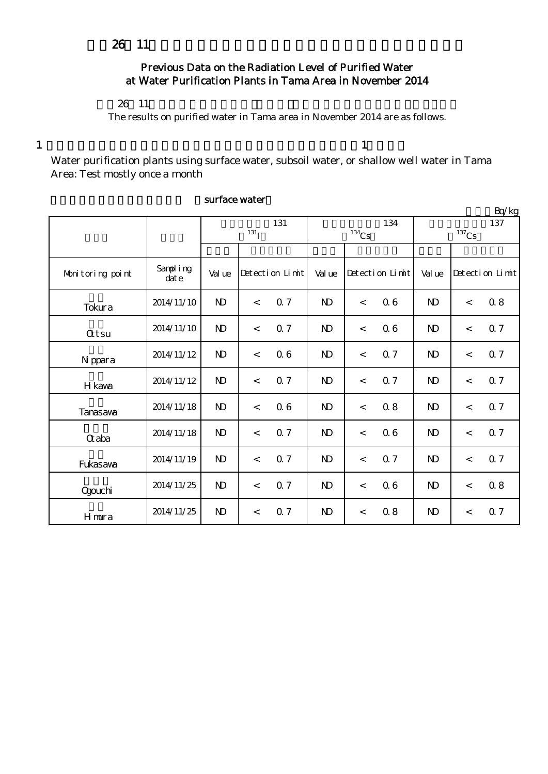## Previous Data on the Radiation Level of Purified Water at Water Purification Plants in Tama Area in November 2014

### $26 \t11$

The results on purified water in Tama area in November 2014 are as follows.

 $1$  , and the set of the set of the set of the set of the set of the set of the set of the set of the set of the set of the set of the set of the set of the set of the set of the set of the set of the set of the set of th

Water purification plants using surface water, subsoil water, or shallow well water in Tama Area: Test mostly once a month

|                  |                  |              |                    |                 |                     |                          |                 |                |         | Bq/kg           |  |
|------------------|------------------|--------------|--------------------|-----------------|---------------------|--------------------------|-----------------|----------------|---------|-----------------|--|
|                  |                  | 131          |                    |                 |                     |                          | 134             | 137            |         |                 |  |
|                  |                  |              | $131$ <sub>I</sub> |                 | $^{134}\mathrm{Cs}$ |                          |                 | $137$ Cs       |         |                 |  |
|                  |                  |              |                    |                 |                     |                          |                 |                |         |                 |  |
| Monitoring point | Sampling<br>date | Val ue       |                    | Detection Limit | Val ue              |                          | Detection Limit | Val ue         |         | Detection Limit |  |
| Tokura           | 2014/11/10       | $\mathbf{D}$ | $\lt$              | 0.7             | $\mathbf{D}$        | $\lt$                    | 06              | N <sub>D</sub> | $\lt$   | 08              |  |
| <b>Qtsu</b>      | 2014/11/10       | $\mathbf{D}$ | $\prec$            | 0.7             | $\mathbf{D}$        | $\prec$                  | 06              | $\mathbf{D}$   | $\prec$ | 0.7             |  |
| N ppara          | 2014/11/12       | $\mathbf{D}$ | $\,<\,$            | 06              | $\mathbf{D}$        | $\lt$                    | 0.7             | $\mathbf{N}$   | $\lt$   | 0.7             |  |
| H kava           | 2014/11/12       | $\mathbf{N}$ | $\,<\,$            | Q <sub>7</sub>  | $\mathbf{D}$        | $\overline{\phantom{a}}$ | Q <sub>7</sub>  | $\mathbf{D}$   | $\lt$   | 0.7             |  |
| Tanasawa         | 2014/11/18       | $\mathbf{D}$ | $\lt$              | 06              | N <sub>D</sub>      | $\lt$                    | 0.8             | $\mathbf{N}$   | $\lt$   | 0.7             |  |
| Gaba             | 2014/11/18       | $\mathbf{D}$ | $\lt$              | 0.7             | $\mathbf{D}$        | $\lt$                    | 06              | $\mathbf{N}$   | $\lt$   | 0.7             |  |
| Fukasawa         | 2014/11/19       | $\mathbf{D}$ | $\prec$            | 0.7             | $\mathbf{D}$        | $\overline{\phantom{a}}$ | 0.7             | N <sub>D</sub> | $\prec$ | 0.7             |  |
| Qgouchi          | 2014/11/25       | $\mathbf{D}$ | $\prec$            | 0.7             | $\mathbf{D}$        | $\lt$                    | 06              | N <sub>D</sub> | $\,<\,$ | 0.8             |  |
| Hmura            | 2014/11/25       | $\mathbf{D}$ | $\prec$            | 0.7             | N <sub>D</sub>      | $\,<$                    | 0.8             | $\mathbf{N}$   | $\,<$   | 0.7             |  |

#### surface water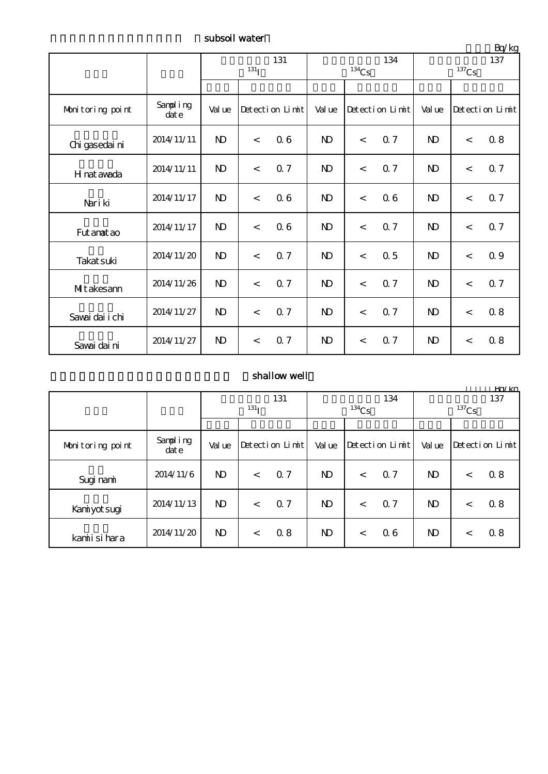subsoil water

|                  |                  | 131<br>$^{131}$ I |                          |                |              | $^{134}\mathrm{Cs}$ | 134 | $-4.7$<br>137<br>$^{137}\mathrm{Cs}$ |                 |                |
|------------------|------------------|-------------------|--------------------------|----------------|--------------|---------------------|-----|--------------------------------------|-----------------|----------------|
|                  |                  |                   |                          |                |              |                     |     |                                      |                 |                |
| Monitoring point | Sampling<br>date | Val ue            | Detection Limit          |                | Val ue       | Detection Limit     |     | Val ue                               | Detection Limit |                |
| Chi gasedai ni   | 2014/11/11       | $\mathbf{D}$      | $\prec$                  | 06             | $\mathbf{N}$ | $\prec$             | 0.7 | $\mathbf{D}$                         | $\,<$           | 0.8            |
| H nat awada      | 2014/11/11       | $\mathbf{D}$      | $\lt$                    | Q <sub>7</sub> | $\mathbf{D}$ | $\lt$               | 0.7 | N <sub>D</sub>                       | $\lt$           | Q <sub>7</sub> |
| Nari ki          | 2014/11/17       | $\mathbf{D}$      | $\lt$                    | 06             | $\mathbf{D}$ | $\lt$               | 06  | $\mathbf{D}$                         | $\,<$           | 0.7            |
| Fut anat ao      | 2014/11/17       | $\mathbf{D}$      | $\lt$                    | 06             | $\mathbf{D}$ | $\,<$               | 0.7 | $\mathbf{D}$                         | $\prec$         | 0.7            |
| Takat suki       | 2014/11/20       | $\mathbf{D}$      | $\lt$                    | 0.7            | $\mathbf{D}$ | $\,<$               | 0.5 | $\mathbf{N}$                         | $\lt$           | 0.9            |
| MIt akesam       | 2014/11/26       | $\mathbf{D}$      | $\overline{\phantom{a}}$ | 0.7            | $\mathbf{D}$ | $\,<$               | 0.7 | $\mathbf{D}$                         | $\lt$           | 0.7            |
| Savai dai i chi  | 2014/11/27       | $\mathbf{D}$      | $\lt$                    | 0.7            | $\mathbf{D}$ | $\prec$             | 0.7 | N <sub>D</sub>                       | $\lt$           | 0.8            |
| Savai dai ni     | 2014/11/27       | $\mathbf{D}$      | $\prec$                  | 0.7            | $\mathbf{D}$ | $\prec$             | 0.7 | N <sub>D</sub>                       | $\,<$           | 08             |

## shallow well

|                  |                  |              |       |                 |              |          |                 |                       |         | Kn/ko           |  |
|------------------|------------------|--------------|-------|-----------------|--------------|----------|-----------------|-----------------------|---------|-----------------|--|
|                  |                  | 131          |       |                 | 134          |          |                 | 137                   |         |                 |  |
|                  |                  | $^{131}$ I   |       |                 |              | $134$ Cs |                 | ${}^{137}\mathrm{Cs}$ |         |                 |  |
|                  |                  |              |       |                 |              |          |                 |                       |         |                 |  |
| Monitoring point | Sampling<br>date | Val ue       |       | Detection Limit | Val ue       |          | Detection Limit | Val ue                |         | Detection Limit |  |
| Sugi nami        | 2014/11/6        | $\mathbf{D}$ | $\lt$ | Q <sub>7</sub>  | $\mathbf{N}$ | $\lt$    | Q <sub>7</sub>  | $\mathbf{N}$          | $\,<\,$ | 0.8             |  |
| Kaniyot sugi     | 2014/11/13       | $\mathbf{D}$ | $\lt$ | Q <sub>7</sub>  | $\mathbf{D}$ | $\,<$    | Q <sub>7</sub>  | $\mathbf{D}$          | $\,<\,$ | 08              |  |
| kamiisi hara     | 2014/11/20       | $\mathbf{D}$ | $\lt$ | 08              | $\mathbf{D}$ | $\lt$    | 06              | $\mathbf{D}$          | $\,<\,$ | 08              |  |

 $Br/kg$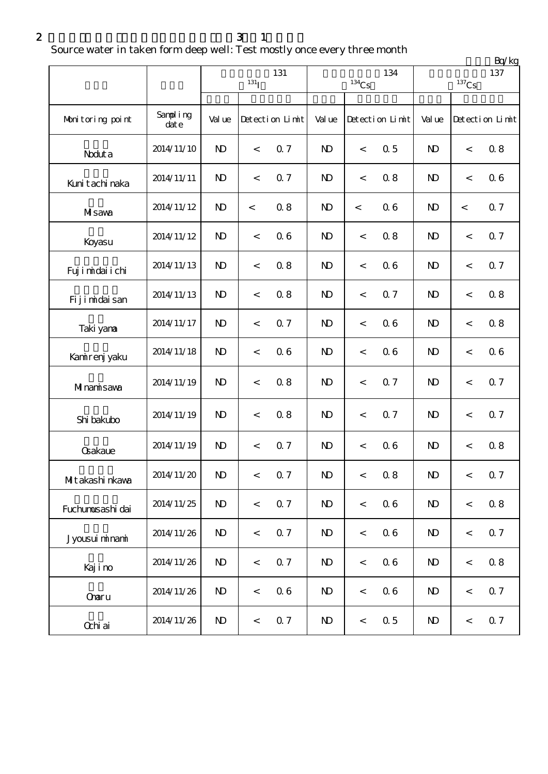$2 \t 3 \t 1$ 

Source water in taken form deep well: Test mostly once every three month

|                   |                  |                           |                          |                 |                         |                     |                 | Bq/kg                      |                          |                 |  |
|-------------------|------------------|---------------------------|--------------------------|-----------------|-------------------------|---------------------|-----------------|----------------------------|--------------------------|-----------------|--|
|                   |                  | 131<br>$131$ <sub>I</sub> |                          |                 |                         | $^{134}\mathrm{Cs}$ | 134             | 137<br>$^{137}\mathrm{Cs}$ |                          |                 |  |
|                   |                  |                           |                          |                 |                         |                     |                 |                            |                          |                 |  |
| Monitoring point  | Sampling<br>date | Val ue                    |                          | Detection Limit | Val ue                  |                     | Detection Limit | Val ue                     |                          | Detection Limit |  |
| Noduta            | 2014/11/10       | $\mathbf{N}$              | $\overline{\phantom{0}}$ | 0.7             | $\mathbf{D}$            | $\,<\,$             | 0.5             | N <sub>D</sub>             | $\,<\,$                  | 0.8             |  |
| Kuni tachi naka   | 2014/11/11       | $\mathbf{D}$              | $\lt$                    | 0.7             | $\mathbf{D}$            | $\,<\,$             | 0.8             | N <sub>D</sub>             | $\,<\,$                  | 06              |  |
| MIsawa            | 2014/11/12       | $\mathbf{D}$              | $\,<\,$                  | 0.8             | $\mathbf{D}$            | $\,<\,$             | 06              | $\mathbf{D}$               | $\overline{\phantom{a}}$ | Q <sub>7</sub>  |  |
| Koyasu            | 2014/11/12       | $\mathbf{D}$              | $\,<\,$                  | 06              | N <sub>D</sub>          | $\,<\,$             | 0.8             | $\mathbf{D}$               | $\,<\,$                  | 0.7             |  |
| Fuj i midai i chi | 2014/11/13       | $\mathbf{D}$              | $\,<\,$                  | 0.8             | $\mathbf{D}$            | $\,<$               | 06              | $\mathbf{D}$               | $\,<\,$                  | 0.7             |  |
| Fijimidaisan      | 2014/11/13       | $\mathbf{D}$              | $\,<\,$                  | 0.8             | $\mathbf{D}$            | $\,<\,$             | 0.7             | N <sub>D</sub>             | $\,<\,$                  | 0.8             |  |
| Taki yana         | 2014/11/17       | $\mathbf{D}$              | $\,<\,$                  | 0.7             | N <sub>D</sub>          | $\,<\,$             | 06              | N <sub>D</sub>             | $\,<\,$                  | 0.8             |  |
| Kanirenj yaku     | 2014/11/18       | $\mathbf{D}$              | $\lt$                    | 06              | $\mathbf{D}$            | $\lt$               | 06              | $\mathbf{D}$               | $\,<\,$                  | 06              |  |
| Minamisawa        | 2014/11/19       | $\mathbf{D}$              | $\,<\,$                  | 0.8             | $\mathbf{D}$            | $\,<\,$             | 0.7             | $\mathbf{D}$               | $\,<\,$                  | 0.7             |  |
| Shi bakubo        | 2014/11/19       | $\mathbf{D}$              | $\,<$                    | 0.8             | $\mathbf{D}$            | $\,<$               | 0.7             | $\mathbf{D}$               | $\,<\,$                  | 0.7             |  |
| <b>Gakaue</b>     | 2014/11/19       | $\mathbf{D}$              | $\,<\,$                  | 0.7             | N <sub>D</sub>          | $\,<\,$             | 06              | N <sub>D</sub>             | $\,<\,$                  | 0.8             |  |
| MItakashi nkava   | 2014/11/20       | $\mathbf{D}$              | $\,<$                    | 0.7             | $\mathbf{D}$            | $\,<$               | $0.8\,$         | $\mathbf{D}$               | $\,<$                    | 0.7             |  |
| Fuchumusashi dai  | 2014/11/25       | $\mathbf{D}$              | $\,<$                    | 0.7             | $\mathbf{N}$            | $\,<$               | 06              | $\mathbf{D}$               | $\,<$                    | 0.8             |  |
| Jyousui minami    | 2014/11/26       | $\mathbf{D}$              | $\,<$                    | 0.7             | $\mathbf{N}$            | $\,<$               | 06              | $\mathbf{D}$               | $\,<$                    | 0.7             |  |
| Kajino            | 2014/11/26       | $\mathbf{D}$              | $\,<$                    | 0.7             | $\mathbf{N}$            | $\,<$               | $0\;6$          | $\mathbf{D}$               | $\,<$                    | 0.8             |  |
| Onaru             | 2014/11/26       | $\mathbf{D}$              | $\,<$                    | 06              | $\mathbf{N}$            | $\,<$               | $0\;6$          | $\mathbf{D}$               | $\,<\,$                  | 0.7             |  |
| Ochi ai           | 2014/11/26       | $\mathbf{N}$              | $\,<$                    | 0.7             | $\mathbf{N} \mathbf{D}$ | $\,<$               | $\Omega$ 5      | $\mathbf{D}$               | $\,<$                    | 0.7             |  |